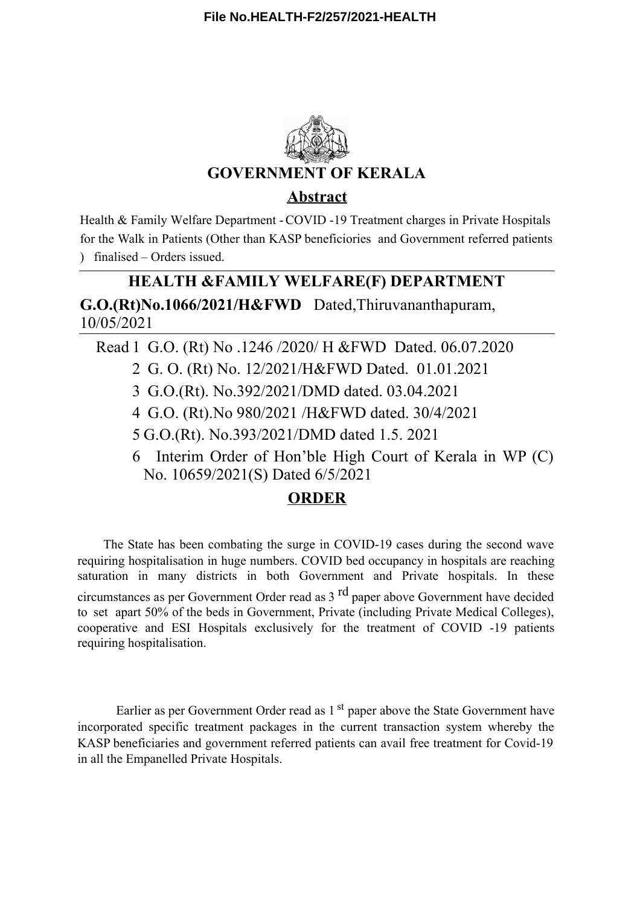

Health & Family Welfare Department -COVID -19 Treatment charges in Private Hospitals for the Walk in Patients (Other than KASP beneficiories and Government referred patients ) finalised – Orders issued.

# **G.O.(Rt)No.1066/2021/H&FWD** Dated,Thiruvananthapuram, 10/05/2021 **HEALTH &FAMILY WELFARE(F) DEPARTMENT**

Read 1 G.O. (Rt) No .1246 /2020/ H &FWD Dated. 06.07.2020

- 2 G. O. (Rt) No. 12/2021/H&FWD Dated. 01.01.2021
- 3 G.O.(Rt). No.392/2021/DMD dated. 03.04.2021
- 4 G.O. (Rt).No 980/2021 /H&FWD dated. 30/4/2021
- 5 G.O.(Rt). No.393/2021/DMD dated 1.5. 2021
- 6 Interim Order of Hon'ble High Court of Kerala in WP (C) No. 10659/2021(S) Dated 6/5/2021

# **ORDER**

The State has been combating the surge in COVID-19 cases during the second wave requiring hospitalisation in huge numbers. COVID bed occupancy in hospitals are reaching saturation in many districts in both Government and Private hospitals. In these circumstances as per Government Order read as 3 <sup>rd</sup> paper above Government have decided to set apart 50% of the beds in Government, Private (including Private Medical Colleges), cooperative and ESI Hospitals exclusively for the treatment of COVID -19 patients requiring hospitalisation.

Earlier as per Government Order read as 1<sup>st</sup> paper above the State Government have incorporated specific treatment packages in the current transaction system whereby the KASP beneficiaries and government referred patients can avail free treatment for Covid-19 in all the Empanelled Private Hospitals.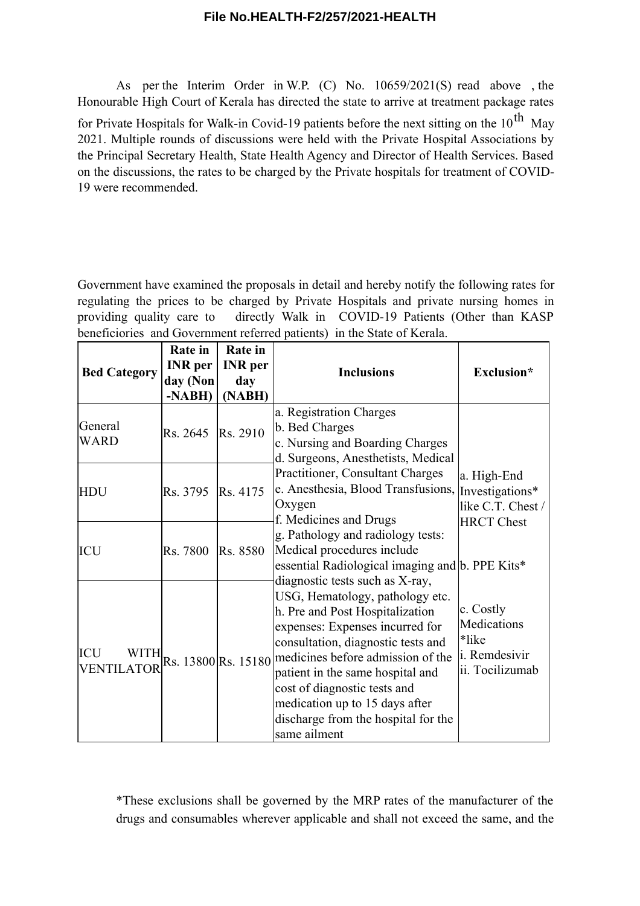As per the Interim Order in W.P. (C) No. 10659/2021(S) read above , the Honourable High Court of Kerala has directed the state to arrive at treatment package rates for Private Hospitals for Walk-in Covid-19 patients before the next sitting on the  $10^{\text{th}}$  May 2021. Multiple rounds of discussions were held with the Private Hospital Associations by the Principal Secretary Health, State Health Agency and Director of Health Services. Based on the discussions, the rates to be charged by the Private hospitals for treatment of COVID-19 were recommended.

Government have examined the proposals in detail and hereby notify the following rates for regulating the prices to be charged by Private Hospitals and private nursing homes in providing quality care to directly Walk in COVID-19 Patients (Other than KASP beneficiories and Government referred patients) in the State of Kerala.

|                                         | <b>Rate</b> in | <b>Rate</b> in |                                                                                                                                                                                                                                                                                                                                                                   |                                                                          |
|-----------------------------------------|----------------|----------------|-------------------------------------------------------------------------------------------------------------------------------------------------------------------------------------------------------------------------------------------------------------------------------------------------------------------------------------------------------------------|--------------------------------------------------------------------------|
| <b>Bed Category</b>                     | <b>INR</b> per | <b>INR</b> per | <b>Inclusions</b>                                                                                                                                                                                                                                                                                                                                                 | Exclusion*                                                               |
|                                         | day (Non       | day            |                                                                                                                                                                                                                                                                                                                                                                   |                                                                          |
|                                         | -NABH)         | (NABH)         |                                                                                                                                                                                                                                                                                                                                                                   |                                                                          |
| General<br>WARD                         | Rs. 2645       | Rs. 2910       | a. Registration Charges<br>b. Bed Charges<br>c. Nursing and Boarding Charges<br>d. Surgeons, Anesthetists, Medical                                                                                                                                                                                                                                                |                                                                          |
| HDU                                     | Rs. 3795       | Rs. 4175       | Practitioner, Consultant Charges<br>e. Anesthesia, Blood Transfusions,<br>Oxygen<br>f. Medicines and Drugs                                                                                                                                                                                                                                                        | a. High-End<br>Investigations*<br>like C.T. Chest /<br><b>HRCT</b> Chest |
| ICU                                     | Rs. 7800       | Rs. 8580       | g. Pathology and radiology tests:<br>Medical procedures include<br>essential Radiological imaging and b. PPE Kits*<br>diagnostic tests such as X-ray,                                                                                                                                                                                                             |                                                                          |
| <b>ICU</b><br>WITH<br><b>VENTILATOR</b> |                |                | USG, Hematology, pathology etc.<br>h. Pre and Post Hospitalization<br>expenses: Expenses incurred for<br>consultation, diagnostic tests and<br>Rs. 13800 Rs. 15180 medicines before admission of the<br>patient in the same hospital and<br>cost of diagnostic tests and<br>medication up to 15 days after<br>discharge from the hospital for the<br>same ailment | c. Costly<br>Medications<br>*like<br>i. Remdesivir<br>ii. Tocilizumab    |

\*These exclusions shall be governed by the MRP rates of the manufacturer of the drugs and consumables wherever applicable and shall not exceed the same, and the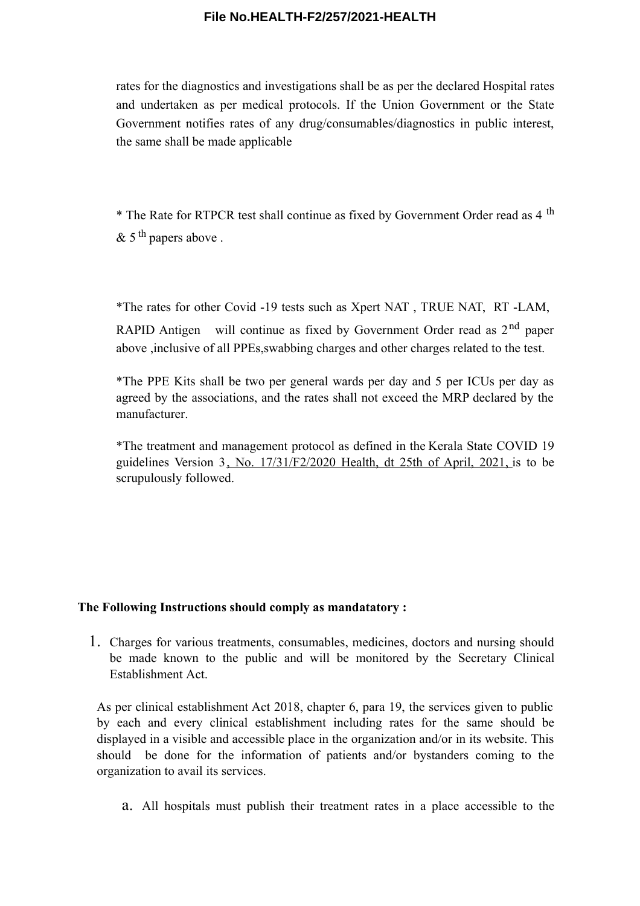rates for the diagnostics and investigations shall be as per the declared Hospital rates and undertaken as per medical protocols. If the Union Government or the State Government notifies rates of any drug/consumables/diagnostics in public interest, the same shall be made applicable

\* The Rate for RTPCR test shall continue as fixed by Government Order read as 4 th  $\&$  5<sup>th</sup> papers above.

\*The rates for other Covid -19 tests such as Xpert NAT , TRUE NAT, RT -LAM, RAPID Antigen will continue as fixed by Government Order read as  $2<sup>nd</sup>$  paper above ,inclusive of all PPEs,swabbing charges and other charges related to the test.

\*The PPE Kits shall be two per general wards per day and 5 per ICUs per day as agreed by the associations, and the rates shall not exceed the MRP declared by the manufacturer.

\*The treatment and management protocol as defined in the Kerala State COVID 19 guidelines Version 3, No. 17/31/F2/2020 Health, dt 25th of April, 2021, is to be scrupulously followed.

#### **The Following Instructions should comply as mandatatory :**

1. Charges for various treatments, consumables, medicines, doctors and nursing should be made known to the public and will be monitored by the Secretary Clinical Establishment Act.

As per clinical establishment Act 2018, chapter 6, para 19, the services given to public by each and every clinical establishment including rates for the same should be displayed in a visible and accessible place in the organization and/or in its website. This should be done for the information of patients and/or bystanders coming to the organization to avail its services.

a. All hospitals must publish their treatment rates in a place accessible to the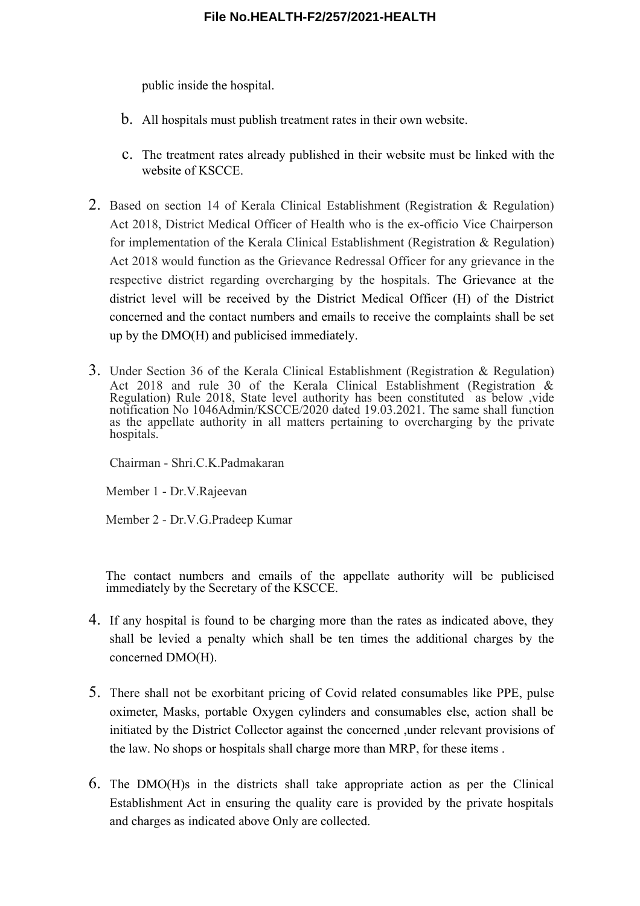public inside the hospital.

- b. All hospitals must publish treatment rates in their own website.
- c. The treatment rates already published in their website must be linked with the website of KSCCE.
- 2. Based on section 14 of Kerala Clinical Establishment (Registration & Regulation) Act 2018, District Medical Officer of Health who is the ex-officio Vice Chairperson for implementation of the Kerala Clinical Establishment (Registration & Regulation) Act 2018 would function as the Grievance Redressal Officer for any grievance in the respective district regarding overcharging by the hospitals. The Grievance at the district level will be received by the District Medical Officer (H) of the District concerned and the contact numbers and emails to receive the complaints shall be set up by the DMO(H) and publicised immediately.
- 3. Under Section 36 of the Kerala Clinical Establishment (Registration & Regulation) Act 2018 and rule 30 of the Kerala Clinical Establishment (Registration & Regulation) Rule 2018, State level authority has been constituted as below, vide notification No 1046Admin/KSCCE/2020 dated 19.03.2021. The same shall function as the appellate authority in all matters pertaining to overcharging by the private hospitals.

Chairman - Shri.C.K.Padmakaran

Member 1 - Dr.V.Rajeevan

Member 2 - Dr.V.G.Pradeep Kumar

The contact numbers and emails of the appellate authority will be publicised immediately by the Secretary of the KSCCE.

- 4. If any hospital is found to be charging more than the rates as indicated above, they shall be levied a penalty which shall be ten times the additional charges by the concerned DMO(H).
- 5. There shall not be exorbitant pricing of Covid related consumables like PPE, pulse oximeter, Masks, portable Oxygen cylinders and consumables else, action shall be initiated by the District Collector against the concerned ,under relevant provisions of the law. No shops or hospitals shall charge more than MRP, for these items .
- 6. The DMO(H)s in the districts shall take appropriate action as per the Clinical Establishment Act in ensuring the quality care is provided by the private hospitals and charges as indicated above Only are collected.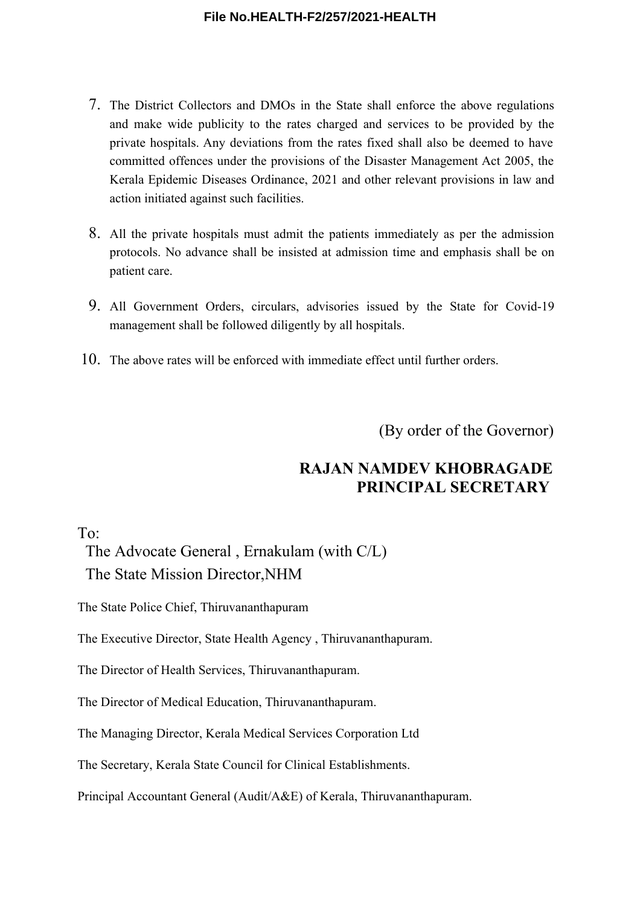- 7. The District Collectors and DMOs in the State shall enforce the above regulations and make wide publicity to the rates charged and services to be provided by the private hospitals. Any deviations from the rates fixed shall also be deemed to have committed offences under the provisions of the Disaster Management Act 2005, the Kerala Epidemic Diseases Ordinance, 2021 and other relevant provisions in law and action initiated against such facilities.
- 8. All the private hospitals must admit the patients immediately as per the admission protocols. No advance shall be insisted at admission time and emphasis shall be on patient care.
- 9. All Government Orders, circulars, advisories issued by the State for Covid-19 management shall be followed diligently by all hospitals.
- 10. The above rates will be enforced with immediate effect until further orders.

(By order of the Governor)

# **RAJAN NAMDEV KHOBRAGADE PRINCIPAL SECRETARY**

To:

The Advocate General , Ernakulam (with C/L) The State Mission Director,NHM

The State Police Chief, Thiruvananthapuram

The Executive Director, State Health Agency , Thiruvananthapuram.

The Director of Health Services, Thiruvananthapuram.

The Director of Medical Education, Thiruvananthapuram.

The Managing Director, Kerala Medical Services Corporation Ltd

The Secretary, Kerala State Council for Clinical Establishments.

Principal Accountant General (Audit/A&E) of Kerala, Thiruvananthapuram.